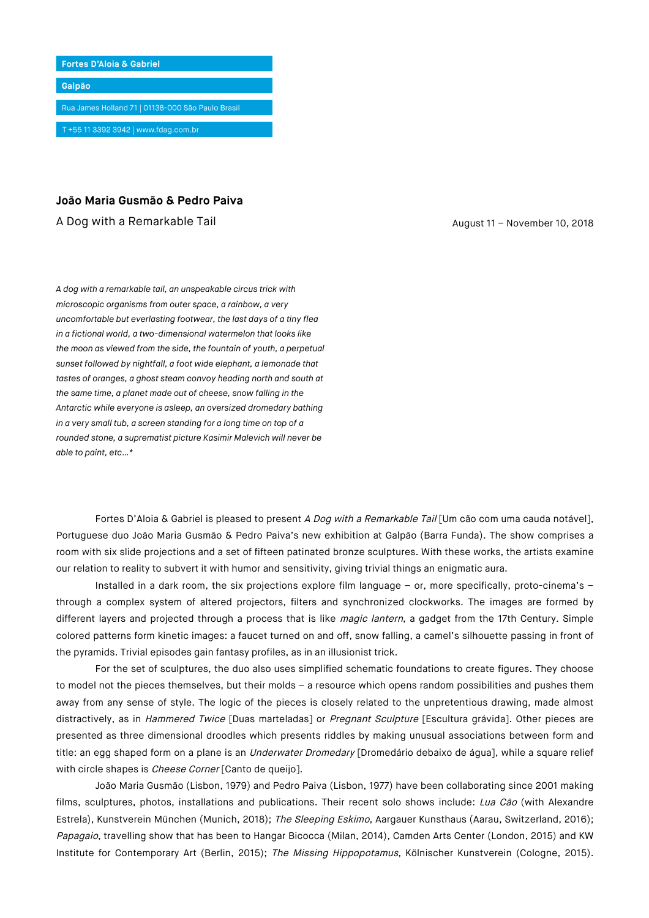

## **João Maria Gusmão & Pedro Paiva**

A Dog with a Remarkable Tail August 11 – November 10, 2018

*A dog with a remarkable tail, an unspeakable circus trick with microscopic organisms from outer space, a rainbow, a very uncomfortable but everlasting footwear, the last days of a tiny flea in a fictional world, a two-dimensional watermelon that looks like the moon as viewed from the side, the fountain of youth, a perpetual sunset followed by nightfall, a foot wide elephant, a lemonade that tastes of oranges, a ghost steam convoy heading north and south at the same time, a planet made out of cheese, snow falling in the Antarctic while everyone is asleep, an oversized dromedary bathing in a very small tub, a screen standing for a long time on top of a rounded stone, a suprematist picture Kasimir Malevich will never be able to paint, etc…\**

Fortes D'Aloia & Gabriel is pleased to present A Dog with a Remarkable Tail [Um cão com uma cauda notável], Portuguese duo João Maria Gusmão & Pedro Paiva's new exhibition at Galpão (Barra Funda). The show comprises a room with six slide projections and a set of fifteen patinated bronze sculptures. With these works, the artists examine our relation to reality to subvert it with humor and sensitivity, giving trivial things an enigmatic aura.

Installed in a dark room, the six projections explore film language – or, more specifically, proto-cinema's – through a complex system of altered projectors, filters and synchronized clockworks. The images are formed by different layers and projected through a process that is like magic lantern, a gadget from the 17th Century. Simple colored patterns form kinetic images: a faucet turned on and off, snow falling, a camel's silhouette passing in front of the pyramids. Trivial episodes gain fantasy profiles, as in an illusionist trick.

For the set of sculptures, the duo also uses simplified schematic foundations to create figures. They choose to model not the pieces themselves, but their molds – a resource which opens random possibilities and pushes them away from any sense of style. The logic of the pieces is closely related to the unpretentious drawing, made almost distractively, as in Hammered Twice [Duas marteladas] or Pregnant Sculpture [Escultura grávida]. Other pieces are presented as three dimensional droodles which presents riddles by making unusual associations between form and title: an egg shaped form on a plane is an *Underwater Dromedary* [Dromedário debaixo de água], while a square relief with circle shapes is *Cheese Corner* [Canto de queijo].

João Maria Gusmão (Lisbon, 1979) and Pedro Paiva (Lisbon, 1977) have been collaborating since 2001 making films, sculptures, photos, installations and publications. Their recent solo shows include: Lua Cão (with Alexandre Estrela), Kunstverein München (Munich, 2018); The Sleeping Eskimo, Aargauer Kunsthaus (Aarau, Switzerland, 2016); Papagaio, travelling show that has been to Hangar Bicocca (Milan, 2014), Camden Arts Center (London, 2015) and KW Institute for Contemporary Art (Berlin, 2015); The Missing Hippopotamus, Kölnischer Kunstverein (Cologne, 2015).